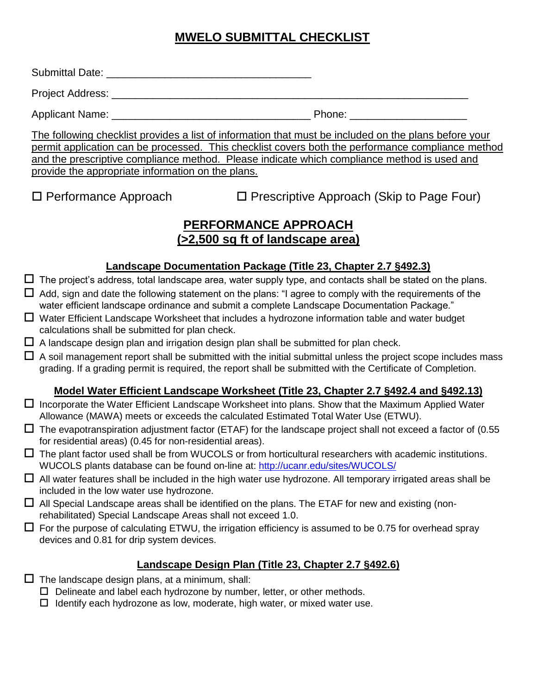# **MWELO SUBMITTAL CHECKLIST**

Submittal Date: **Example 2018** 

Project Address: \_\_\_\_\_\_\_\_\_\_\_\_\_\_\_\_\_\_\_\_\_\_\_\_\_\_\_\_\_\_\_\_\_\_\_\_\_\_\_\_\_\_\_\_\_\_\_\_\_\_\_\_\_\_\_\_\_\_\_\_\_

Applicant Name: \_\_\_\_\_\_\_\_\_\_\_\_\_\_\_\_\_\_\_\_\_\_\_\_\_\_\_\_\_\_\_\_\_\_ Phone: \_\_\_\_\_\_\_\_\_\_\_\_\_\_\_\_\_\_\_\_

The following checklist provides a list of information that must be included on the plans before your permit application can be processed. This checklist covers both the performance compliance method and the prescriptive compliance method. Please indicate which compliance method is used and provide the appropriate information on the plans.

 $\Box$  Performance Approach  $\Box$  Prescriptive Approach (Skip to Page Four)

## **PERFORMANCE APPROACH (>2,500 sq ft of landscape area)**

#### **Landscape Documentation Package (Title 23, Chapter 2.7 §492.3)**

- $\Box$  The project's address, total landscape area, water supply type, and contacts shall be stated on the plans.  $\Box$  Add, sign and date the following statement on the plans: "I agree to comply with the requirements of the
- water efficient landscape ordinance and submit a complete Landscape Documentation Package."
- $\Box$  Water Efficient Landscape Worksheet that includes a hydrozone information table and water budget calculations shall be submitted for plan check.
- $\Box$  A landscape design plan and irrigation design plan shall be submitted for plan check.
- $\Box$  A soil management report shall be submitted with the initial submittal unless the project scope includes mass grading. If a grading permit is required, the report shall be submitted with the Certificate of Completion.

#### **Model Water Efficient Landscape Worksheet (Title 23, Chapter 2.7 §492.4 and §492.13)**

- $\Box$  Incorporate the Water Efficient Landscape Worksheet into plans. Show that the Maximum Applied Water Allowance (MAWA) meets or exceeds the calculated Estimated Total Water Use (ETWU).
- $\Box$  The evapotranspiration adjustment factor (ETAF) for the landscape project shall not exceed a factor of (0.55 for residential areas) (0.45 for non-residential areas).
- $\Box$  The plant factor used shall be from WUCOLS or from horticultural researchers with academic institutions. WUCOLS plants database can be found on-line at:<http://ucanr.edu/sites/WUCOLS/>
- $\Box$  All water features shall be included in the high water use hydrozone. All temporary irrigated areas shall be included in the low water use hydrozone.
- $\Box$  All Special Landscape areas shall be identified on the plans. The ETAF for new and existing (nonrehabilitated) Special Landscape Areas shall not exceed 1.0.
- $\Box$  For the purpose of calculating ETWU, the irrigation efficiency is assumed to be 0.75 for overhead spray devices and 0.81 for drip system devices.

#### **Landscape Design Plan (Title 23, Chapter 2.7 §492.6)**

- $\square$  The landscape design plans, at a minimum, shall:
	- $\Box$  Delineate and label each hydrozone by number, letter, or other methods.
	- $\Box$  Identify each hydrozone as low, moderate, high water, or mixed water use.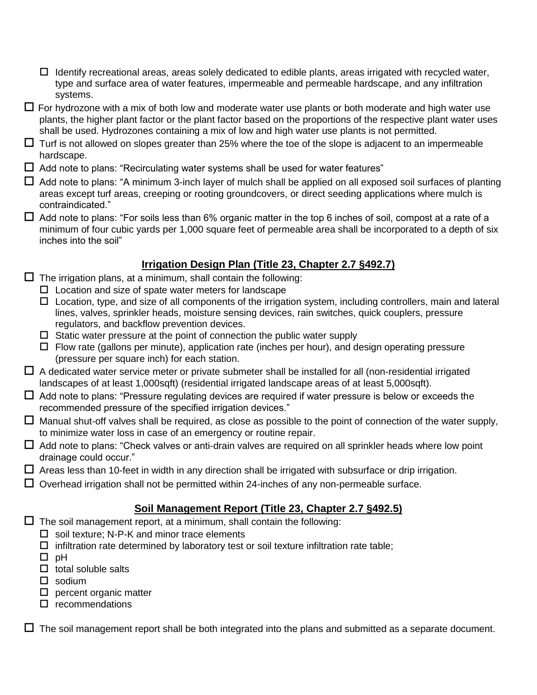- $\Box$  Identify recreational areas, areas solely dedicated to edible plants, areas irrigated with recycled water, type and surface area of water features, impermeable and permeable hardscape, and any infiltration systems.
- $\Box$  For hydrozone with a mix of both low and moderate water use plants or both moderate and high water use plants, the higher plant factor or the plant factor based on the proportions of the respective plant water uses shall be used. Hydrozones containing a mix of low and high water use plants is not permitted.
- $\Box$  Turf is not allowed on slopes greater than 25% where the toe of the slope is adjacent to an impermeable hardscape.
- $\Box$  Add note to plans: "Recirculating water systems shall be used for water features"
- $\Box$  Add note to plans: "A minimum 3-inch layer of mulch shall be applied on all exposed soil surfaces of planting areas except turf areas, creeping or rooting groundcovers, or direct seeding applications where mulch is contraindicated."
- $\Box$  Add note to plans: "For soils less than 6% organic matter in the top 6 inches of soil, compost at a rate of a minimum of four cubic yards per 1,000 square feet of permeable area shall be incorporated to a depth of six inches into the soil"

## **Irrigation Design Plan (Title 23, Chapter 2.7 §492.7)**

- $\Box$  The irrigation plans, at a minimum, shall contain the following:
	- $\Box$  Location and size of spate water meters for landscape
	- $\Box$  Location, type, and size of all components of the irrigation system, including controllers, main and lateral lines, valves, sprinkler heads, moisture sensing devices, rain switches, quick couplers, pressure regulators, and backflow prevention devices.
	- $\square$  Static water pressure at the point of connection the public water supply
	- $\Box$  Flow rate (gallons per minute), application rate (inches per hour), and design operating pressure (pressure per square inch) for each station.
- $\Box$  A dedicated water service meter or private submeter shall be installed for all (non-residential irrigated landscapes of at least 1,000sqft) (residential irrigated landscape areas of at least 5,000sqft).
- $\Box$  Add note to plans: "Pressure regulating devices are required if water pressure is below or exceeds the recommended pressure of the specified irrigation devices."
- $\Box$  Manual shut-off valves shall be required, as close as possible to the point of connection of the water supply, to minimize water loss in case of an emergency or routine repair.
- $\Box$  Add note to plans: "Check valves or anti-drain valves are required on all sprinkler heads where low point drainage could occur."
- $\Box$  Areas less than 10-feet in width in any direction shall be irrigated with subsurface or drip irrigation.
- $\Box$  Overhead irrigation shall not be permitted within 24-inches of any non-permeable surface.

### **Soil Management Report (Title 23, Chapter 2.7 §492.5)**

- $\Box$  The soil management report, at a minimum, shall contain the following:
	- $\square$  soil texture: N-P-K and minor trace elements
	- $\Box$  infiltration rate determined by laboratory test or soil texture infiltration rate table;
	- $\Box$  pH
	- $\Box$  total soluble salts
	- $\Box$  sodium
	- $\square$  percent organic matter
	- $\square$  recommendations

 $\Box$  The soil management report shall be both integrated into the plans and submitted as a separate document.